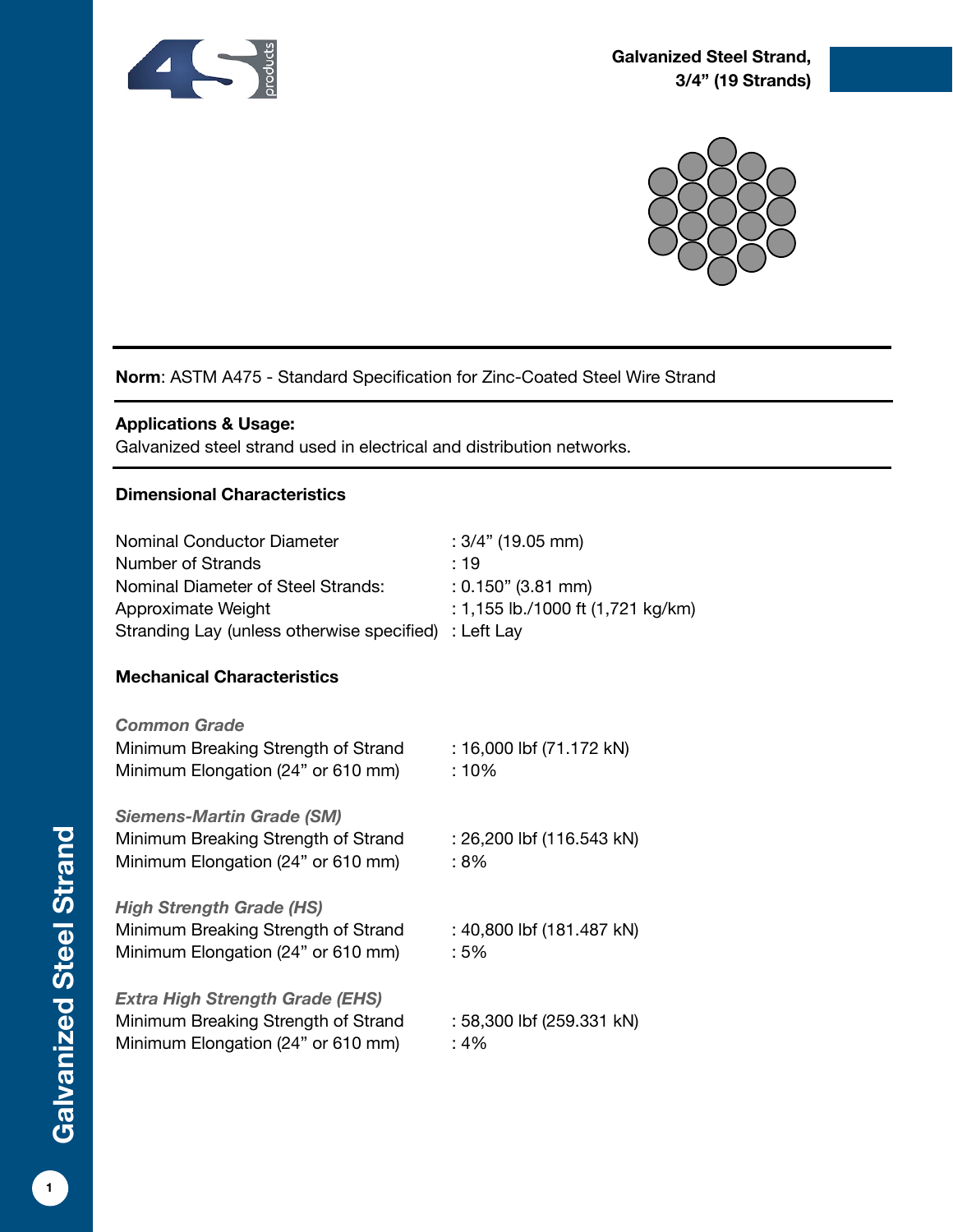



# **Norm**: ASTM A475 - Standard Specification for Zinc-Coated Steel Wire Strand

### **Applications & Usage:**

Galvanized steel strand used in electrical and distribution networks.

### **Dimensional Characteristics**

| Nominal Conductor Diameter<br>Number of Strands<br>Nominal Diameter of Steel Strands:<br>Approximate Weight<br>Stranding Lay (unless otherwise specified) | $: 3/4"$ (19.05 mm)<br>: 19<br>$: 0.150"$ (3.81 mm)<br>: 1,155 lb./1000 ft (1,721 kg/km)<br>: Left Lay |
|-----------------------------------------------------------------------------------------------------------------------------------------------------------|--------------------------------------------------------------------------------------------------------|
| <b>Mechanical Characteristics</b>                                                                                                                         |                                                                                                        |
| <b>Common Grade</b><br>Minimum Breaking Strength of Strand<br>Minimum Elongation (24" or 610 mm)                                                          | : 16,000 lbf (71.172 kN)<br>: 10%                                                                      |
| <b>Siemens-Martin Grade (SM)</b><br>Minimum Breaking Strength of Strand<br>Minimum Elongation (24" or 610 mm)                                             | : 26,200 lbf (116.543 kN)<br>: 8%                                                                      |
| <b>High Strength Grade (HS)</b><br>Minimum Breaking Strength of Strand<br>Minimum Elongation (24" or 610 mm)                                              | : 40,800 lbf (181.487 kN)<br>:5%                                                                       |
| <b>Extra High Strength Grade (EHS)</b><br>Minimum Breaking Strength of Strand<br>Minimum Elongation (24" or 610 mm)                                       | : 58,300 lbf (259.331 kN)<br>: 4%                                                                      |